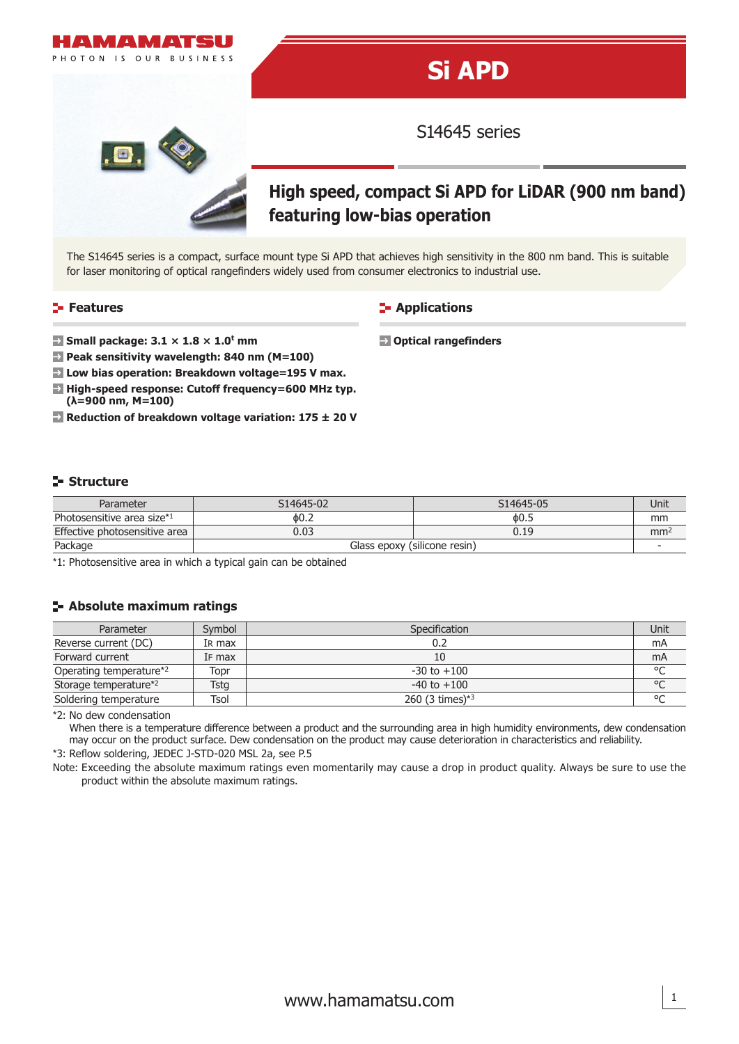

#### **Features**

### **Applications**

**Optical rangefinders**

- **Small package: 3.1 × 1.8 × 1.0<sup>t</sup> mm**
- **Peak sensitivity wavelength: 840 nm (M=100)**
- **Low bias operation: Breakdown voltage=195 V max.**
- **High-speed response: Cutoff frequency=600 MHz typ. (λ=900 nm, M=100)**
- **Reduction of breakdown voltage variation: 175 ± 20 V**

#### **Structure**

| Parameter                     | S14645-02                    | S14645-05 | Unit            |
|-------------------------------|------------------------------|-----------|-----------------|
| Photosensitive area size*1    | 60.2                         | ዕ0.5      | mm              |
| Effective photosensitive area | 0.03                         | 0.19      | mm <sup>2</sup> |
| Package                       | Glass epoxy (silicone resin) |           |                 |

\*1: Photosensitive area in which a typical gain can be obtained

#### **Absolute maximum ratings**

| Parameter               | Symbol | Specification      |         |
|-------------------------|--------|--------------------|---------|
| Reverse current (DC)    | IR max |                    | mA      |
| Forward current         | IF max |                    | mA      |
| Operating temperature*2 | Topr   | $-30$ to $+100$    | $\circ$ |
| Storage temperature*2   | Tstg   | $-40$ to $+100$    | °C      |
| Soldering temperature   | Tsol   | 260 (3 times) $*3$ | $\circ$ |

\*2: No dew condensation

When there is a temperature difference between a product and the surrounding area in high humidity environments, dew condensation may occur on the product surface. Dew condensation on the product may cause deterioration in characteristics and reliability.

\*3: Reflow soldering, JEDEC J-STD-020 MSL 2a, see P.5

Note: Exceeding the absolute maximum ratings even momentarily may cause a drop in product quality. Always be sure to use the product within the absolute maximum ratings.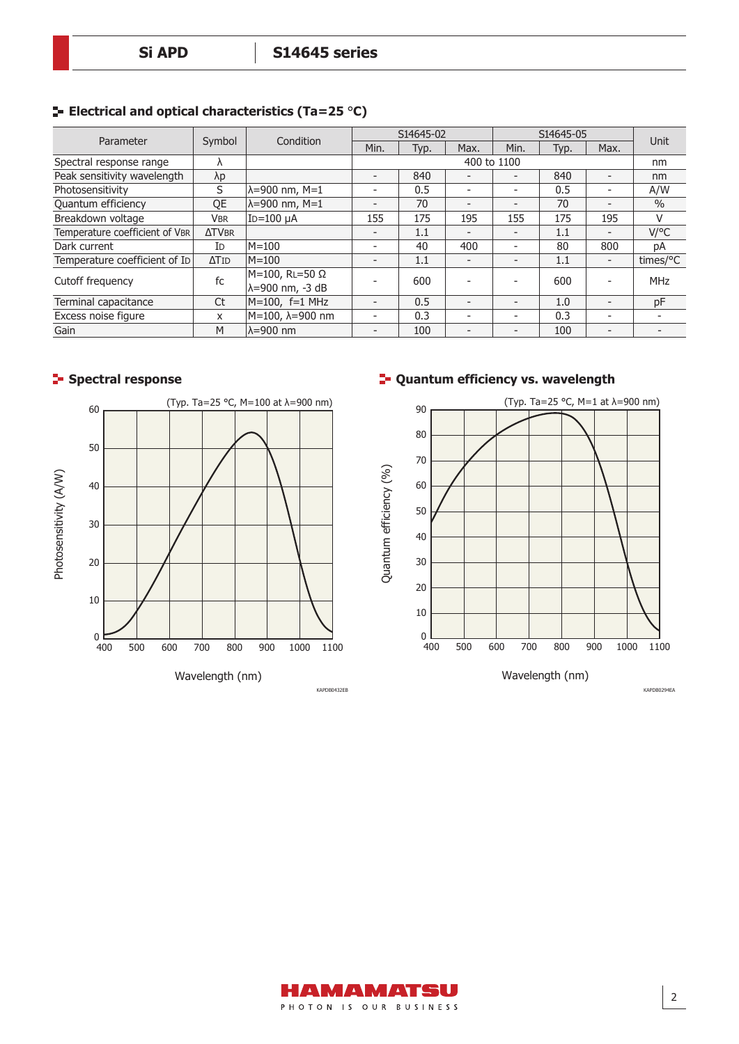|  |  |  |  | $\blacktriangleright$ Electrical and optical characteristics (Ta=25 °C) |  |  |
|--|--|--|--|-------------------------------------------------------------------------|--|--|
|--|--|--|--|-------------------------------------------------------------------------|--|--|

|                                | Symbol         | Condition                         | S14645-02                |      | S14645-05                |                          |      |                          |                    |
|--------------------------------|----------------|-----------------------------------|--------------------------|------|--------------------------|--------------------------|------|--------------------------|--------------------|
| Parameter                      |                |                                   | Min.                     | Typ. | Max.                     | Min.                     | Typ. | Max.                     | Unit               |
| Spectral response range        |                |                                   |                          |      |                          | 400 to 1100              |      |                          | nm                 |
| Peak sensitivity wavelength    | $\lambda p$    |                                   | $\overline{\phantom{0}}$ | 840  | $\overline{\phantom{a}}$ | $\overline{\phantom{a}}$ | 840  | $\overline{\phantom{a}}$ | nm                 |
| Photosensitivity               | <sub>S</sub>   | λ=900 nm, M=1                     | $\overline{\phantom{a}}$ | 0.5  | $\overline{\phantom{a}}$ | $\overline{\phantom{a}}$ | 0.5  | $\overline{\phantom{a}}$ | A/W                |
| Quantum efficiency             | QE             | $\lambda = 900$ nm, M=1           | $\overline{\phantom{0}}$ | 70   | $\overline{\phantom{a}}$ | $\overline{\phantom{a}}$ | 70   | $\overline{\phantom{0}}$ | $\frac{0}{0}$      |
| Breakdown voltage              | <b>VBR</b>     | ID=100 µA                         | 155                      | 175  | 195                      | 155                      | 175  | 195                      | V                  |
| Temperature coefficient of VBR | <b>ATVBR</b>   |                                   | $\overline{\phantom{0}}$ | 1.1  | $\overline{\phantom{a}}$ | $\overline{\phantom{a}}$ | 1.1  | Ξ.                       | $V$ /°C            |
| Dark current                   | I <sub>D</sub> | M=100                             | $\overline{\phantom{a}}$ | 40   | 400                      | $\overline{\phantom{a}}$ | 80   | 800                      | DA                 |
| Temperature coefficient of ID  | $\Delta T$ ID  | $M = 100$                         | $\overline{\phantom{0}}$ | 1.1  | $\overline{\phantom{0}}$ | $\overline{\phantom{a}}$ | 1.1  | $\overline{\phantom{a}}$ | times/ $\degree$ C |
| Cutoff frequency               | fc             | M=100, RL=50 Ω<br>λ=900 nm, -3 dB |                          | 600  |                          |                          | 600  | $\overline{\phantom{a}}$ | <b>MHz</b>         |
| Terminal capacitance           | Ct             | $M=100$ , f=1 MHz                 | $\overline{\phantom{0}}$ | 0.5  | $\overline{\phantom{0}}$ | $\overline{\phantom{a}}$ | 1.0  | $\overline{\phantom{a}}$ | pF                 |
| Excess noise figure            | X              | M=100, λ=900 nm                   | $\overline{\phantom{a}}$ | 0.3  | $\overline{\phantom{a}}$ | $\overline{\phantom{a}}$ | 0.3  | $\overline{\phantom{a}}$ |                    |
| Gain                           | M              | lλ=900 nm                         | $\overline{\phantom{0}}$ | 100  | $\overline{\phantom{0}}$ | $\overline{\phantom{a}}$ | 100  | $\overline{\phantom{a}}$ |                    |

#### **Spectral response**



# **Quantum efficiency vs. wavelength**



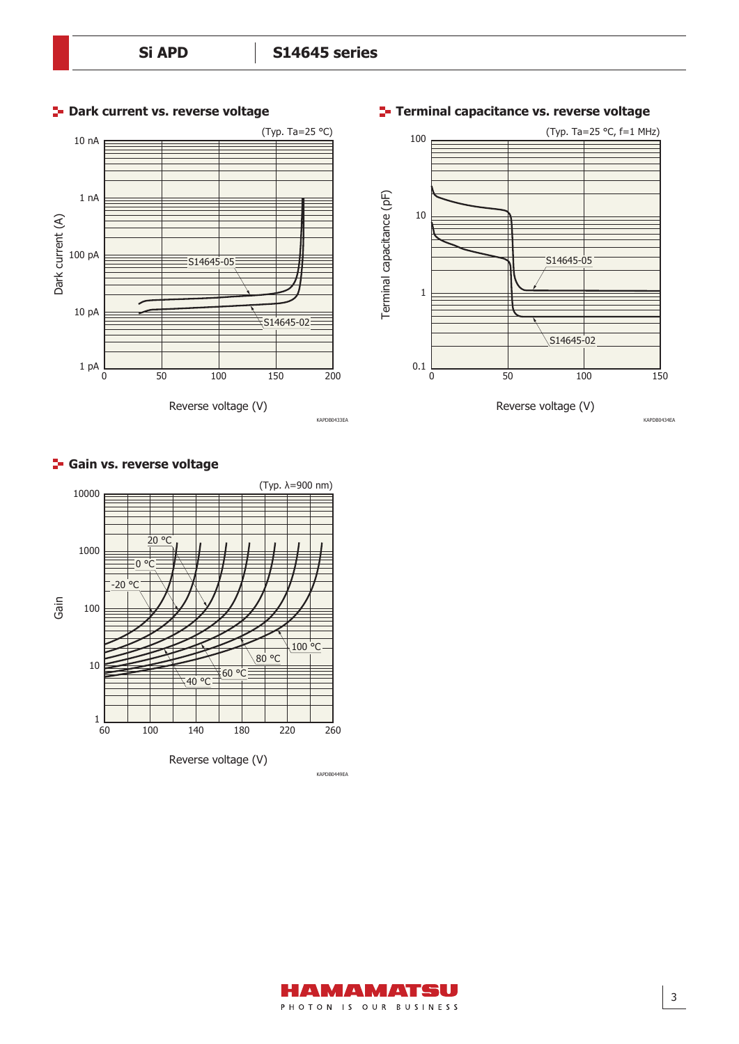

# (Typ. Ta=25 °C, f=1 MHz) 100 Terminal capacitance (pF) Terminal capacitance (pF) 10 S14645-05 1 S14645-02 0.1 0 50 100 150 Reverse voltage (V)

#### **Gain vs. reverse voltage**





# **Terminal capacitance vs. reverse voltage**

KAPDB0434EA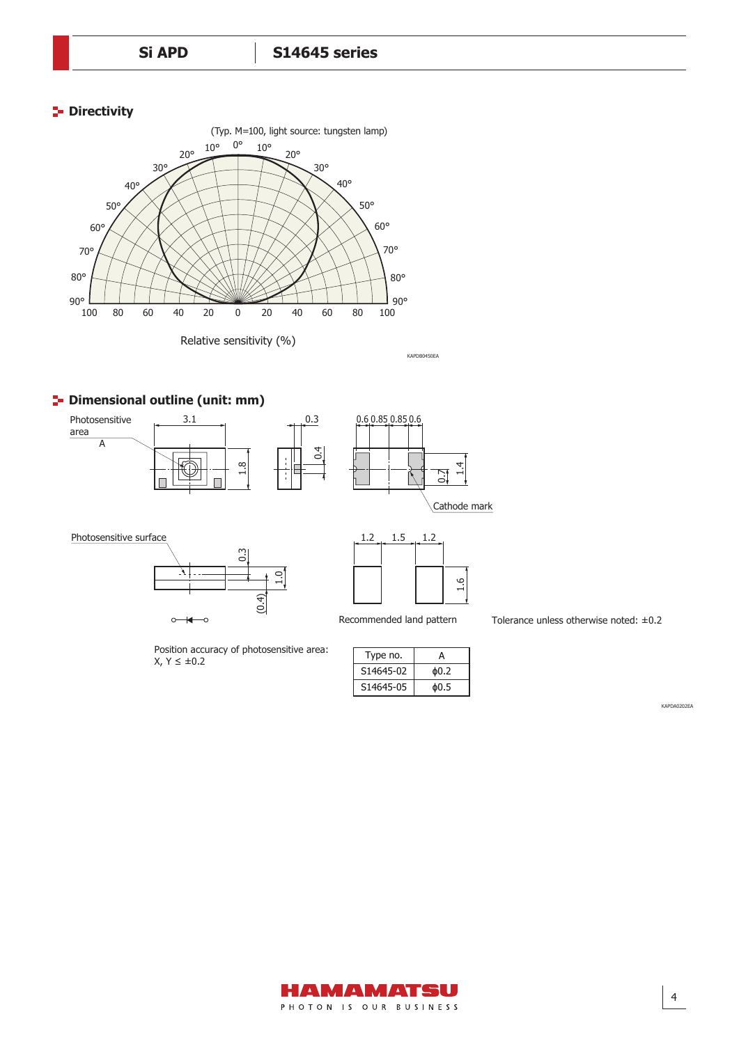#### **P** Directivity



KAPDB0450EA

## **P** Dimensional outline (unit: mm)



Photosensitive surface



 $X, Y ≤ ±0.2$ 

Position accuracy of photosensitive area:

KAPDB0450A  $1.2$  1.5 1.2 1.6

Recommended land pattern Tolerance unless otherwise noted: ±0.2

| Type no.  | А    |
|-----------|------|
| S14645-02 | ф0.2 |
| S14645-05 | ዕ0.5 |

KAPDA0202EA

4

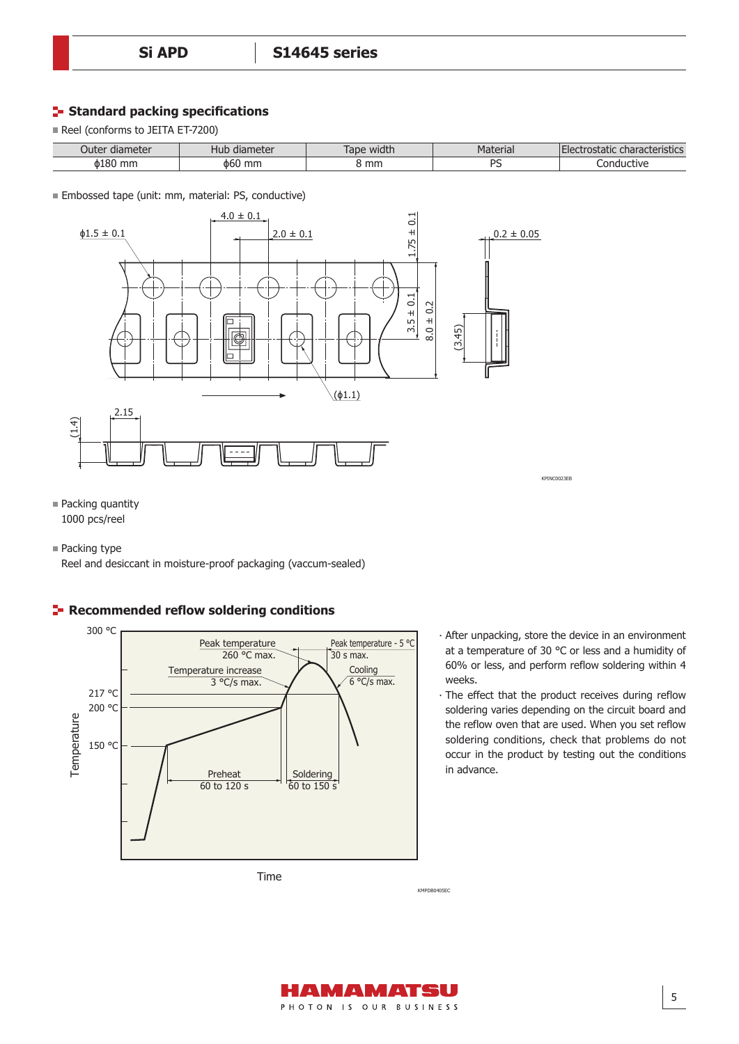#### **Standard packing specifications**

Reel (conforms to JEITA ET-7200)

| Jute <sup>.</sup><br>diameter | $max+2r$<br>diameter<br>⊣up | .<br>ape<br>width | $+2415$<br>Material            | .<br>characterístics<br>rostatic<br>$\overline{\phantom{a}}$ |
|-------------------------------|-----------------------------|-------------------|--------------------------------|--------------------------------------------------------------|
| <b>b180</b><br>mm.            | mm<br>ФЬί                   | mm                | DC<br>$\overline{\phantom{0}}$ | ∴ ∩nd∙<br>evitive.<br>пно                                    |

Embossed tape (unit: mm, material: PS, conductive)



■ Packing quantity 1000 pcs/reel

■ Packing type

Reel and desiccant in moisture-proof packaging (vaccum-sealed)



## **Recommended reflow soldering conditions**

Time

- ∙ After unpacking, store the device in an environment at a temperature of 30 °C or less and a humidity of 60% or less, and perform reflow soldering within 4 weeks.
- ∙ The effect that the product receives during reflow soldering varies depending on the circuit board and the reflow oven that are used. When you set reflow soldering conditions, check that problems do not occur in the product by testing out the conditions in advance.

**KMPDB0405EC**